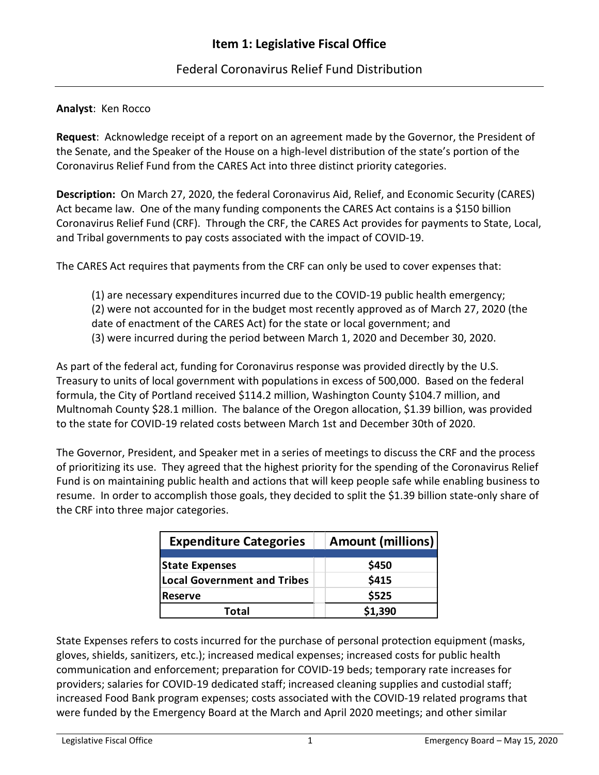## Federal Coronavirus Relief Fund Distribution

## **Analyst**: Ken Rocco

**Request**: Acknowledge receipt of a report on an agreement made by the Governor, the President of the Senate, and the Speaker of the House on a high-level distribution of the state's portion of the Coronavirus Relief Fund from the CARES Act into three distinct priority categories.

**Description:** On March 27, 2020, the federal Coronavirus Aid, Relief, and Economic Security (CARES) Act became law. One of the many funding components the CARES Act contains is a \$150 billion Coronavirus Relief Fund (CRF). Through the CRF, the CARES Act provides for payments to State, Local, and Tribal governments to pay costs associated with the impact of COVID-19.

The CARES Act requires that payments from the CRF can only be used to cover expenses that:

(1) are necessary expenditures incurred due to the COVID-19 public health emergency; (2) were not accounted for in the budget most recently approved as of March 27, 2020 (the date of enactment of the CARES Act) for the state or local government; and (3) were incurred during the period between March 1, 2020 and December 30, 2020.

As part of the federal act, funding for Coronavirus response was provided directly by the U.S. Treasury to units of local government with populations in excess of 500,000. Based on the federal formula, the City of Portland received \$114.2 million, Washington County \$104.7 million, and Multnomah County \$28.1 million. The balance of the Oregon allocation, \$1.39 billion, was provided to the state for COVID-19 related costs between March 1st and December 30th of 2020.

The Governor, President, and Speaker met in a series of meetings to discuss the CRF and the process of prioritizing its use. They agreed that the highest priority for the spending of the Coronavirus Relief Fund is on maintaining public health and actions that will keep people safe while enabling business to resume. In order to accomplish those goals, they decided to split the \$1.39 billion state-only share of the CRF into three major categories.

| <b>Expenditure Categories</b>      | <b>Amount (millions)</b> |
|------------------------------------|--------------------------|
| State Expenses                     | \$450                    |
| <b>Local Government and Tribes</b> | \$415                    |
| <b>Reserve</b>                     | \$525                    |
| Total                              | \$1,390                  |

State Expenses refers to costs incurred for the purchase of personal protection equipment (masks, gloves, shields, sanitizers, etc.); increased medical expenses; increased costs for public health communication and enforcement; preparation for COVID-19 beds; temporary rate increases for providers; salaries for COVID-19 dedicated staff; increased cleaning supplies and custodial staff; increased Food Bank program expenses; costs associated with the COVID-19 related programs that were funded by the Emergency Board at the March and April 2020 meetings; and other similar